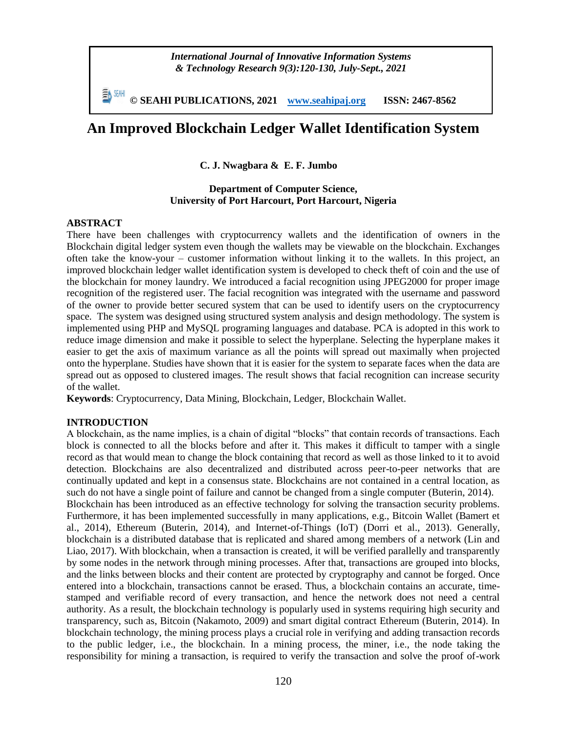*International Journal of Innovative Information Systems & Technology Research 9(3):120-130, July-Sept., 2021*

**© SEAHI PUBLICATIONS, 2021 [www.seahipaj.org](http://www.seahipaj.org/) ISSN: 2467-8562**

# **An Improved Blockchain Ledger Wallet Identification System**

**C. J. Nwagbara & E. F. Jumbo**

#### **Department of Computer Science, University of Port Harcourt, Port Harcourt, Nigeria**

#### **ABSTRACT**

There have been challenges with cryptocurrency wallets and the identification of owners in the Blockchain digital ledger system even though the wallets may be viewable on the blockchain. Exchanges often take the know-your – customer information without linking it to the wallets. In this project, an improved blockchain ledger wallet identification system is developed to check theft of coin and the use of the blockchain for money laundry. We introduced a facial recognition using JPEG2000 for proper image recognition of the registered user. The facial recognition was integrated with the username and password of the owner to provide better secured system that can be used to identify users on the cryptocurrency space. The system was designed using structured system analysis and design methodology. The system is implemented using PHP and MySQL programing languages and database. PCA is adopted in this work to reduce image dimension and make it possible to select the hyperplane. Selecting the hyperplane makes it easier to get the axis of maximum variance as all the points will spread out maximally when projected onto the hyperplane. Studies have shown that it is easier for the system to separate faces when the data are spread out as opposed to clustered images. The result shows that facial recognition can increase security of the wallet.

**Keywords**: Cryptocurrency, Data Mining, Blockchain, Ledger, Blockchain Wallet.

#### **INTRODUCTION**

A blockchain, as the name implies, is a chain of digital "blocks" that contain records of transactions. Each block is connected to all the blocks before and after it. This makes it difficult to tamper with a single record as that would mean to change the block containing that record as well as those linked to it to avoid detection. Blockchains are also decentralized and distributed across peer-to-peer networks that are continually updated and kept in a consensus state. Blockchains are not contained in a central location, as such do not have a single point of failure and cannot be changed from a single computer (Buterin, 2014). Blockchain has been introduced as an effective technology for solving the transaction security problems. Furthermore, it has been implemented successfully in many applications, e.g., Bitcoin Wallet (Bamert et al., 2014), Ethereum (Buterin, 2014), and Internet-of-Things (IoT) (Dorri et al., 2013). Generally, blockchain is a distributed database that is replicated and shared among members of a network (Lin and Liao, 2017). With blockchain, when a transaction is created, it will be verified parallelly and transparently by some nodes in the network through mining processes. After that, transactions are grouped into blocks, and the links between blocks and their content are protected by cryptography and cannot be forged. Once entered into a blockchain, transactions cannot be erased. Thus, a blockchain contains an accurate, timestamped and verifiable record of every transaction, and hence the network does not need a central authority. As a result, the blockchain technology is popularly used in systems requiring high security and transparency, such as, Bitcoin (Nakamoto, 2009) and smart digital contract Ethereum (Buterin, 2014). In blockchain technology, the mining process plays a crucial role in verifying and adding transaction records to the public ledger, i.e., the blockchain. In a mining process, the miner, i.e., the node taking the

responsibility for mining a transaction, is required to verify the transaction and solve the proof of-work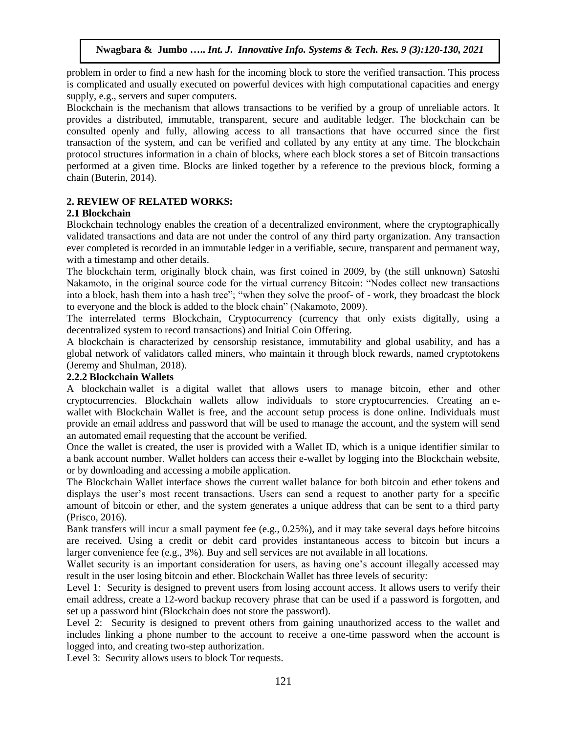problem in order to find a new hash for the incoming block to store the verified transaction. This process is complicated and usually executed on powerful devices with high computational capacities and energy supply, e.g., servers and super computers.

Blockchain is the mechanism that allows transactions to be verified by a group of unreliable actors. It provides a distributed, immutable, transparent, secure and auditable ledger. The blockchain can be consulted openly and fully, allowing access to all transactions that have occurred since the first transaction of the system, and can be verified and collated by any entity at any time. The blockchain protocol structures information in a chain of blocks, where each block stores a set of Bitcoin transactions performed at a given time. Blocks are linked together by a reference to the previous block, forming a chain (Buterin, 2014).

# **2. REVIEW OF RELATED WORKS:**

# **2.1 Blockchain**

Blockchain technology enables the creation of a decentralized environment, where the cryptographically validated transactions and data are not under the control of any third party organization. Any transaction ever completed is recorded in an immutable ledger in a verifiable, secure, transparent and permanent way, with a timestamp and other details.

The blockchain term, originally block chain, was first coined in 2009, by (the still unknown) Satoshi Nakamoto, in the original source code for the virtual currency Bitcoin: "Nodes collect new transactions into a block, hash them into a hash tree"; "when they solve the proof- of - work, they broadcast the block to everyone and the block is added to the block chain" (Nakamoto, 2009).

The interrelated terms Blockchain, Cryptocurrency (currency that only exists digitally, using a decentralized system to record transactions) and Initial Coin Offering.

A blockchain is characterized by censorship resistance, immutability and global usability, and has a global network of validators called miners, who maintain it through block rewards, named cryptotokens (Jeremy and Shulman, 2018).

#### **2.2.2 Blockchain Wallets**

A blockchain wallet is a digital wallet that allows users to manage bitcoin, ether and other cryptocurrencies. Blockchain wallets allow individuals to store cryptocurrencies. Creating an ewallet with Blockchain Wallet is free, and the account setup process is done online. Individuals must provide an email address and password that will be used to manage the account, and the system will send an automated email requesting that the account be verified.

Once the wallet is created, the user is provided with a Wallet ID, which is a unique identifier similar to a bank account number. Wallet holders can access their e-wallet by logging into the Blockchain website, or by downloading and accessing a mobile application.

The Blockchain Wallet interface shows the current wallet balance for both bitcoin and ether tokens and displays the user's most recent transactions. Users can send a request to another party for a specific amount of bitcoin or ether, and the system generates a unique address that can be sent to a third party (Prisco, 2016).

Bank transfers will incur a small payment fee (e.g., 0.25%), and it may take several days before bitcoins are received. Using a credit or debit card provides instantaneous access to bitcoin but incurs a larger convenience fee (e.g., 3%). Buy and sell services are not available in all locations.

Wallet security is an important consideration for users, as having one's account illegally accessed may result in the user losing bitcoin and ether. Blockchain Wallet has three levels of security:

Level 1: Security is designed to prevent users from losing account access. It allows users to verify their email address, create a 12-word backup recovery phrase that can be used if a password is forgotten, and set up a password hint (Blockchain does not store the password).

Level 2: Security is designed to prevent others from gaining unauthorized access to the wallet and includes linking a phone number to the account to receive a one-time password when the account is logged into, and creating two-step authorization.

Level 3: Security allows users to block Tor requests.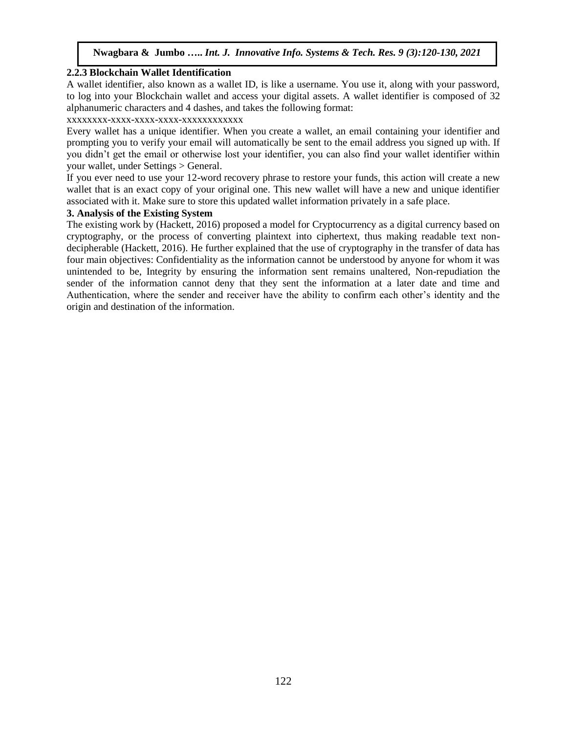#### **2.2.3 Blockchain Wallet Identification**

A wallet identifier, also known as a wallet ID, is like a username. You use it, along with your password, to log into your Blockchain wallet and access your digital assets. A wallet identifier is composed of 32 alphanumeric characters and 4 dashes, and takes the following format:

xxxxxxxx-xxxx-xxxx-xxxx-xxxxxxxxxxxx

Every wallet has a unique identifier. When you create a wallet, an email containing your identifier and prompting you to verify your email will automatically be sent to the email address you signed up with. If you didn't get the email or otherwise lost your identifier, you can also find your wallet identifier within your wallet, under Settings > General.

If you ever need to use your 12-word recovery phrase to restore your funds, this action will create a new wallet that is an exact copy of your original one. This new wallet will have a new and unique identifier associated with it. Make sure to store this updated wallet information privately in a safe place.

### **3. Analysis of the Existing System**

The existing work by (Hackett, 2016) proposed a model for Cryptocurrency as a digital currency based on cryptography, or the process of converting plaintext into ciphertext, thus making readable text nondecipherable (Hackett, 2016). He further explained that the use of cryptography in the transfer of data has four main objectives: Confidentiality as the information cannot be understood by anyone for whom it was unintended to be, Integrity by ensuring the information sent remains unaltered, Non-repudiation the sender of the information cannot deny that they sent the information at a later date and time and Authentication, where the sender and receiver have the ability to confirm each other's identity and the origin and destination of the information.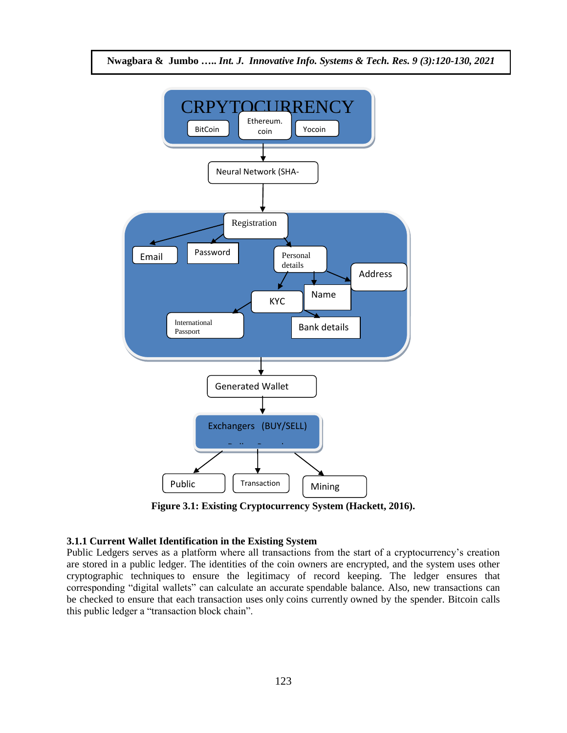

**Figure 3.1: Existing Cryptocurrency System (Hackett, 2016).**

#### **3.1.1 Current Wallet Identification in the Existing System**

Public Ledgers serves as a platform where all transactions from the start of a cryptocurrency's creation are stored in a public ledger. The identities of the coin owners are encrypted, and the system uses other cryptographic techniques to ensure the legitimacy of record keeping. The ledger ensures that corresponding "digital wallets" can calculate an accurate spendable balance. Also, new transactions can be checked to ensure that each transaction uses only coins currently owned by the spender. Bitcoin calls this public ledger a "transaction block chain".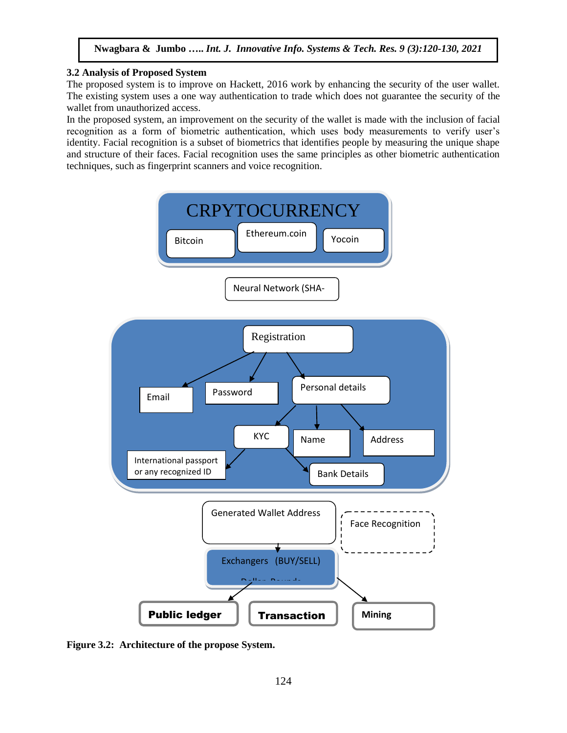### **3.2 Analysis of Proposed System**

The proposed system is to improve on Hackett, 2016 work by enhancing the security of the user wallet. The existing system uses a one way authentication to trade which does not guarantee the security of the wallet from unauthorized access.

In the proposed system, an improvement on the security of the wallet is made with the inclusion of facial recognition as a form of biometric authentication, which uses body measurements to verify user's identity. Facial recognition is a subset of biometrics that identifies people by measuring the unique shape and structure of their faces. Facial recognition uses the same principles as other biometric authentication techniques, such as fingerprint scanners and voice recognition.



**Figure 3.2: Architecture of the propose System.**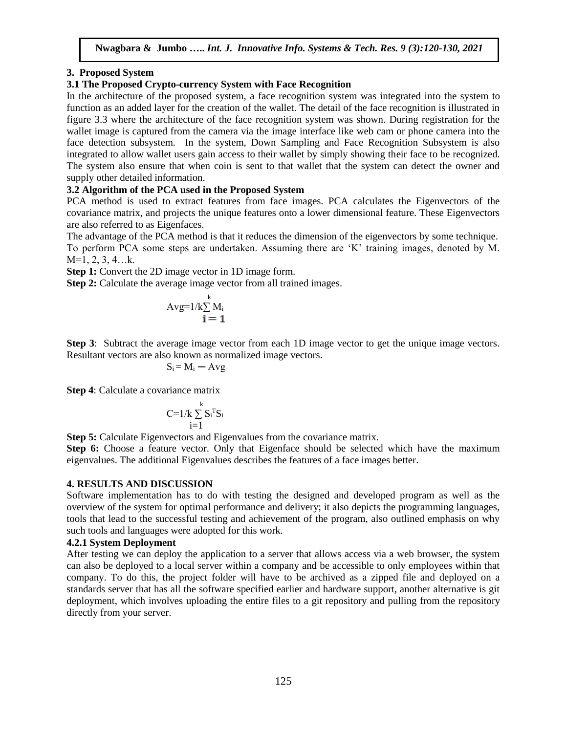# **3. Proposed System**

# **3.1 The Proposed Crypto-currency System with Face Recognition**

In the architecture of the proposed system, a face recognition system was integrated into the system to function as an added layer for the creation of the wallet. The detail of the face recognition is illustrated in figure 3.3 where the architecture of the face recognition system was shown. During registration for the wallet image is captured from the camera via the image interface like web cam or phone camera into the face detection subsystem. In the system, Down Sampling and Face Recognition Subsystem is also integrated to allow wallet users gain access to their wallet by simply showing their face to be recognized. The system also ensure that when coin is sent to that wallet that the system can detect the owner and supply other detailed information.

# **3.2 Algorithm of the PCA used in the Proposed System**

PCA method is used to extract features from face images. PCA calculates the Eigenvectors of the covariance matrix, and projects the unique features onto a lower dimensional feature. These Eigenvectors are also referred to as Eigenfaces.

The advantage of the PCA method is that it reduces the dimension of the eigenvectors by some technique. To perform PCA some steps are undertaken. Assuming there are 'K' training images, denoted by M. M=1, 2, 3, 4…k.

**Step 1:** Convert the 2D image vector in 1D image form.

**Step 2:** Calculate the average image vector from all trained images.

$$
Avg=1/k\sum_{i=1}^{k} M_i
$$

**Step 3**: Subtract the average image vector from each 1D image vector to get the unique image vectors. Resultant vectors are also known as normalized image vectors.

$$
S_i\!=M_i-\mathrm{Avg}
$$

**Step 4**: Calculate a covariance matrix

$$
C\text{=}1/k\sum_{i=1}^k S_i^{\mathrm{T}}S_i
$$

**Step 5:** Calculate Eigenvectors and Eigenvalues from the covariance matrix.

**Step 6:** Choose a feature vector. Only that Eigenface should be selected which have the maximum eigenvalues. The additional Eigenvalues describes the features of a face images better.

#### **4. RESULTS AND DISCUSSION**

Software implementation has to do with testing the designed and developed program as well as the overview of the system for optimal performance and delivery; it also depicts the programming languages, tools that lead to the successful testing and achievement of the program, also outlined emphasis on why such tools and languages were adopted for this work.

#### **4.2.1 System Deployment**

After testing we can deploy the application to a server that allows access via a web browser, the system can also be deployed to a local server within a company and be accessible to only employees within that company. To do this, the project folder will have to be archived as a zipped file and deployed on a standards server that has all the software specified earlier and hardware support, another alternative is git deployment, which involves uploading the entire files to a git repository and pulling from the repository directly from your server.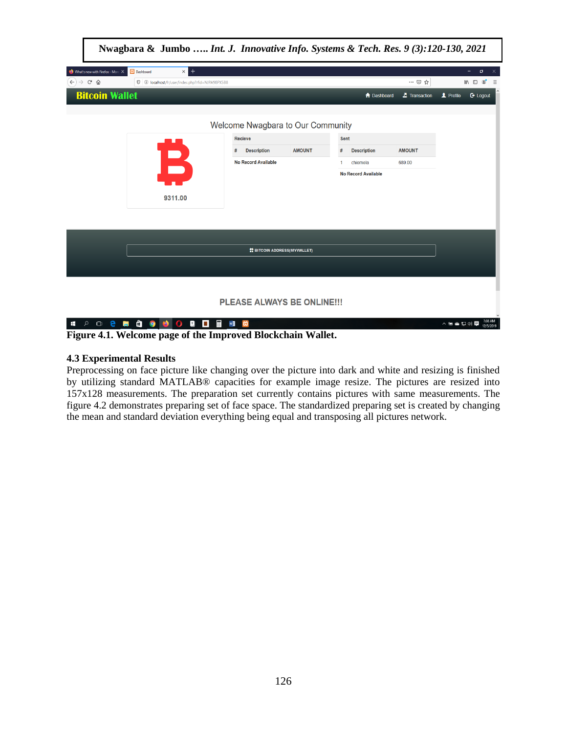

**Figure 4.1. Welcome page of the Improved Blockchain Wallet.**

# **4.3 Experimental Results**

Preprocessing on face picture like changing over the picture into dark and white and resizing is finished by utilizing standard MATLAB® capacities for example image resize. The pictures are resized into 157x128 measurements. The preparation set currently contains pictures with same measurements. The figure 4.2 demonstrates preparing set of face space. The standardized preparing set is created by changing the mean and standard deviation everything being equal and transposing all pictures network.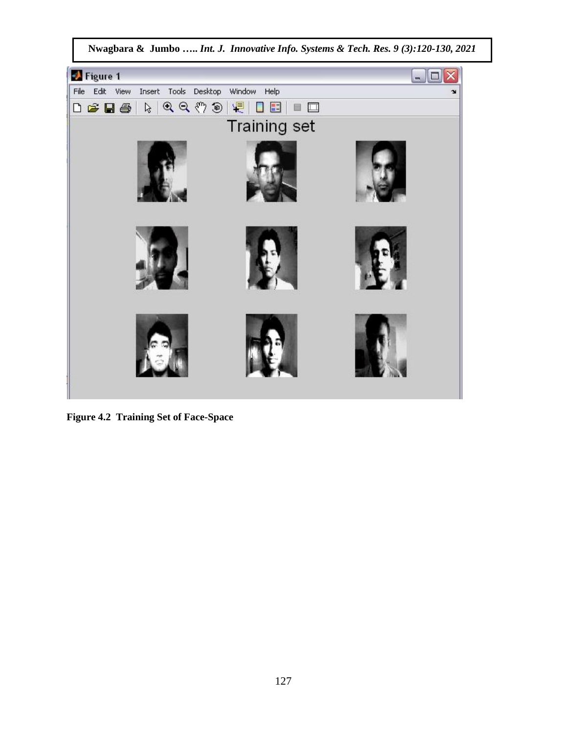

**Figure 4.2 Training Set of Face-Space**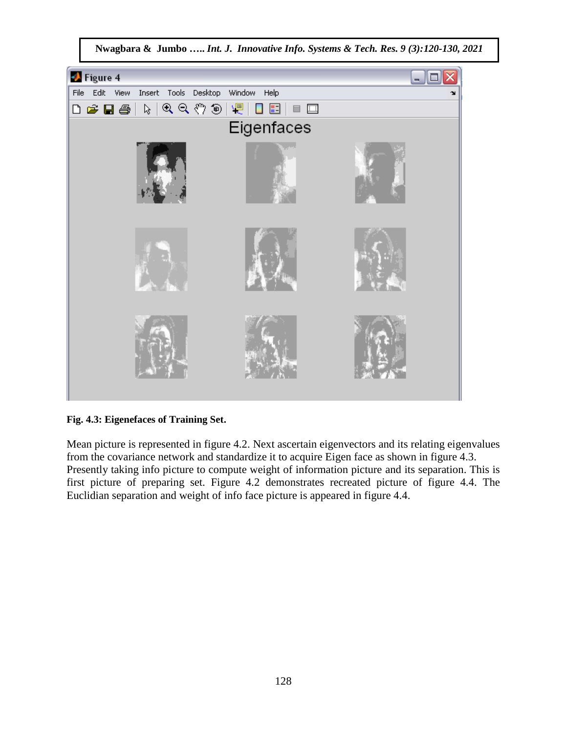

**Fig. 4.3: Eigenefaces of Training Set.** 

Mean picture is represented in figure 4.2. Next ascertain eigenvectors and its relating eigenvalues from the covariance network and standardize it to acquire Eigen face as shown in figure 4.3. Presently taking info picture to compute weight of information picture and its separation. This is first picture of preparing set. Figure 4.2 demonstrates recreated picture of figure 4.4. The Euclidian separation and weight of info face picture is appeared in figure 4.4.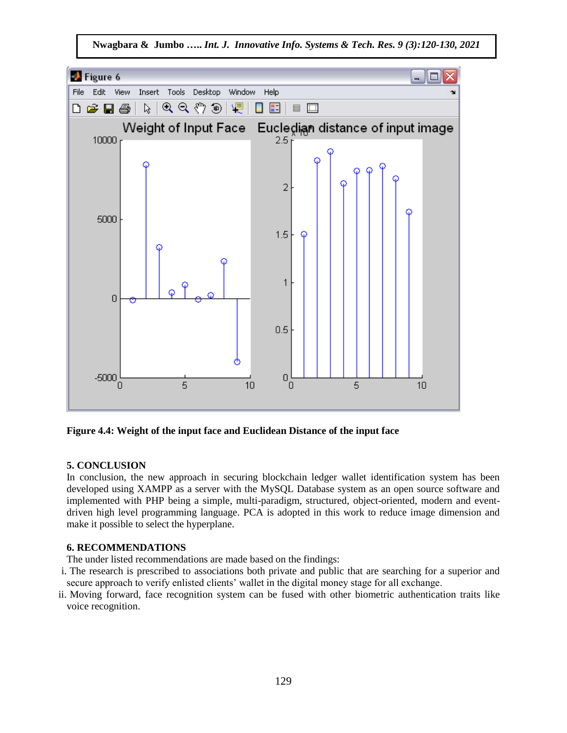

**Figure 4.4: Weight of the input face and Euclidean Distance of the input face** 

# **5. CONCLUSION**

In conclusion, the new approach in securing blockchain ledger wallet identification system has been developed using XAMPP as a server with the MySQL Database system as an open source software and implemented with PHP being a simple, multi-paradigm, structured, object-oriented, modern and eventdriven high level programming language. PCA is adopted in this work to reduce image dimension and make it possible to select the hyperplane.

# **6. RECOMMENDATIONS**

The under listed recommendations are made based on the findings:

- i. The research is prescribed to associations both private and public that are searching for a superior and secure approach to verify enlisted clients' wallet in the digital money stage for all exchange.
- ii. Moving forward, face recognition system can be fused with other biometric authentication traits like voice recognition.